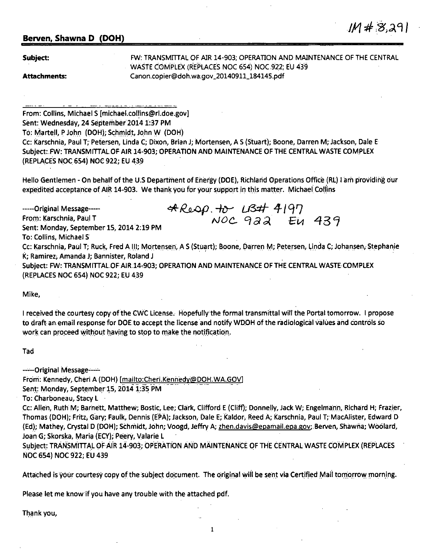## **Berven, Shawna D (DOH)**

**Subject:** 

FW: TRANSMITTAL OF AIR 14-903; OPERATION AND MAINTENANCE OF THE CENTRAL WASTE COMPLEX (REPLACES NOC 654) NOC.922; EU 439 Canon.copier@doh.wa,gov\_20140911\_184145.pdf

 $IM#8291$ 

**Attachments:** 

From: Collins, Michael S [michael.collins@rl.doe.gov] Sent: Wednesday, 24 September 2014 1:37 PM To: Martell, P John (DOH); Schmidt, John W (DOH). Cc: Karschnia, Paul T; Petersen, Linda C; Dixon, Brian J; Mortensen, AS (Stuart); Boone, Darren M; Jackson, Dale E Subject:.FW: TRANSMITTALOFAIR 14-903; OPERATION AND MAINTENANCE OF THE CENTRAL WASTE COMPLEX (REPLACES NOC 654) NOC 922; EU 439

Hello Gentlemen - On behalf of the U.S Department of Energy (DOE), Richland Operations Office (RL) I am providing our expedited acceptance of AIR 14-903. We thank you for your support in this matter. Michael Collins

-----Original Message----- Fron,: Karschnia, Paul T Sent: Monday, September lS, 2014 2:19 PM To: Collins, Michael S ~ */o.,ofJ* . -fr)-- L/3# *4-* I q '7  $NOC$  9a2 EU Cc: Karschnia, Paul T; Ruck, Fred A III; Mortensen, A S (Stuart); Boone, Darren M; Petersen, Linda C; Johansen, Stephanie K; Ramirez; Amanda J; Bannister, Roland J · Subject: FW: TRANSMITTAL OF AIR 14-903; OPERATION AND MAINTENANCE OF THE CENTRAL WASTE COMPLEX (REPLACES NOC 654) NOC 922; EU 439

Mike,

I received the courtesy copy of the CWC License. Hopefully the formal transmittal will the Portal tomorrow. I propose to draft an email response for DOE to accept the license and notify WDOH of the radiological values and controls so work can proceed without having to stop to make the notification.

Tad

-----Original Message-----

From: Kennedy, Cheri A (DOH) [mailto:Cheri.Kennedy@DOH.WA.GOV]

Sent: Monday, September 15, 2014 1:35 PM

To: Charboneau, Stacy L

Cc: Allen, Ruth M; Barnett, Matthew; Bostic, Lee; Clark, Clifford E (Cliff); Donnelly, Jack W; Engelmann, Richard H; Frazier, Thomas (DOH); Fritz, Gary; Faulk, Dennis (EPA); Jackson, Dale E; Kaldor, Reed A; Karschnia, Paul T; MacAlister, Edward D (Ed); Mathey, Crystal D (DOH); Schmidt, John; Voogd, Jeffry A; zhen.davis@epamail.epa.gov; Berven, Shawna; Woolard, Joan G; Skorska, Maria (ECY); Peery, Valarie L

Subject: TRANSMITTAL OF AIR 14-903; OPERATION AND MAINTENANCE OF THE CENTRAL WASTE COMPLEX (REPLACES NOC 654) NOC 922; EU 439

Attached is your courtesy copy of the subject document. The original will be sent via Certified Mail tomorrow morning.

Please let me know if you have any trouble with the attached pdf.

Thank you,